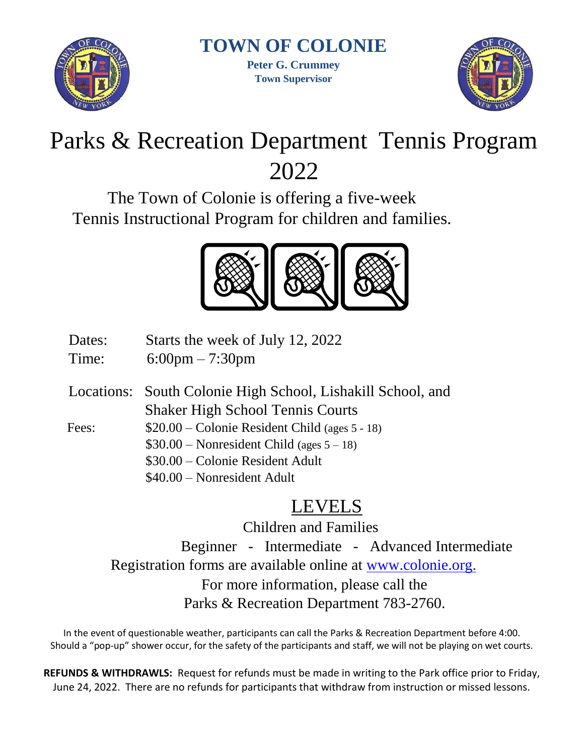

**TOWN OF COLONIE** 

**Peter G. Crummey Town Supervisor**



# Parks & Recreation Department Tennis Program 2022

The Town of Colonie is offering a five-week Tennis Instructional Program for children and families.



- Dates: Starts the week of July 12, 2022
- Time: 6:00pm 7:30pm
- Locations: South Colonie High School, Lishakill School, and Shaker High School Tennis Courts
- Fees: \$20.00 Colonie Resident Child (ages 5 18)
	- \$30.00 Nonresident Child (ages 5 18)
		- \$30.00 Colonie Resident Adult
		- \$40.00 Nonresident Adult

## LEVELS

Children and Families Beginner - Intermediate - Advanced Intermediate Registration forms are available online at [www.colonie.org.](http://www.colonie.org/) For more information, please call the Parks & Recreation Department 783-2760.

In the event of questionable weather, participants can call the Parks & Recreation Department before 4:00. Should a "pop-up" shower occur, for the safety of the participants and staff, we will not be playing on wet courts.

**REFUNDS & WITHDRAWLS:** Request for refunds must be made in writing to the Park office prior to Friday, June 24, 2022. There are no refunds for participants that withdraw from instruction or missed lessons.